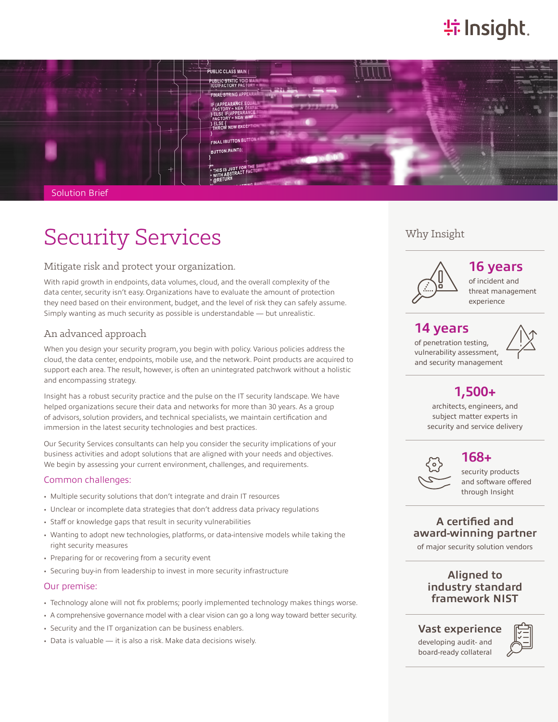# **特Insight**



Solution Brief

# Security Services

#### Mitigate risk and protect your organization.

With rapid growth in endpoints, data volumes, cloud, and the overall complexity of the data center, security isn't easy. Organizations have to evaluate the amount of protection they need based on their environment, budget, and the level of risk they can safely assume. Simply wanting as much security as possible is understandable — but unrealistic.

## An advanced approach

When you design your security program, you begin with policy. Various policies address the cloud, the data center, endpoints, mobile use, and the network. Point products are acquired to support each area. The result, however, is often an unintegrated patchwork without a holistic and encompassing strategy.

Insight has a robust security practice and the pulse on the IT security landscape. We have helped organizations secure their data and networks for more than 30 years. As a group of advisors, solution providers, and technical specialists, we maintain certification and immersion in the latest security technologies and best practices.

Our Security Services consultants can help you consider the security implications of your business activities and adopt solutions that are aligned with your needs and objectives. We begin by assessing your current environment, challenges, and requirements.

#### Common challenges:

- Multiple security solutions that don't integrate and drain IT resources
- Unclear or incomplete data strategies that don't address data privacy regulations
- Staff or knowledge gaps that result in security vulnerabilities
- Wanting to adopt new technologies, platforms, or data-intensive models while taking the right security measures
- Preparing for or recovering from a security event
- Securing buy-in from leadership to invest in more security infrastructure

#### Our premise:

- Technology alone will not fix problems; poorly implemented technology makes things worse.
- A comprehensive governance model with a clear vision can go a long way toward better security.
- Security and the IT organization can be business enablers.
- Data is valuable it is also a risk. Make data decisions wisely.

### Why Insight



**16 years**

of incident and threat management experience

## **14 years**

of penetration testing, vulnerability assessment, and security management



## **1,500+**

architects, engineers, and subject matter experts in security and service delivery



**168+**

security products and software offered through Insight

## **A certified and award-winning partner**

of major security solution vendors

## **Aligned to industry standard framework NIST**

**Vast experience**

developing audit- and board-ready collateral